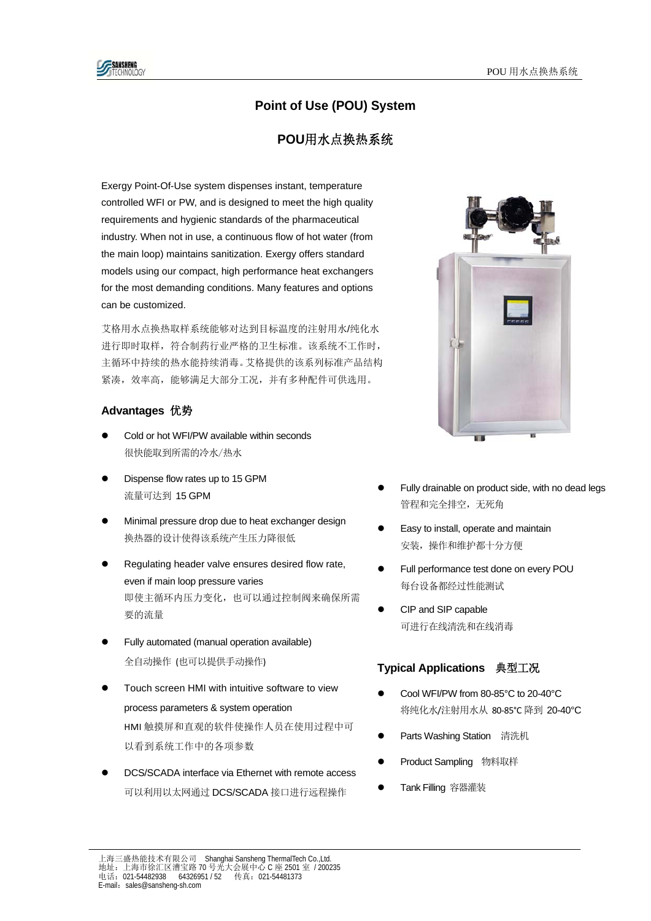# **Point of Use (POU) System**

## **POU**用水点换热系统

Exergy Point-Of-Use system dispenses instant, temperature controlled WFI or PW, and is designed to meet the high quality requirements and hygienic standards of the pharmaceutical industry. When not in use, a continuous flow of hot water (from the main loop) maintains sanitization. Exergy offers standard models using our compact, high performance heat exchangers for the most demanding conditions. Many features and options can be customized.

艾格用水点换热取样系统能够对达到目标温度的注射用水/纯化水 进行即时取样,符合制药行业严格的卫生标准。该系统不工作时, 主循环中持续的热水能持续消毒。艾格提供的该系列标准产品结构 紧凑,效率高,能够满足大部分工况,并有多种配件可供选用。

### **Advantages** 优势

- Cold or hot WFI/PW available within seconds 很快能取到所需的冷水/热水
- Dispense flow rates up to 15 GPM 流量可达到 15 GPM
- Minimal pressure drop due to heat exchanger design 换热器的设计使得该系统产生压力降很低
- Regulating header valve ensures desired flow rate, even if main loop pressure varies 即使主循环内压力变化,也可以通过控制阀来确保所需 要的流量
- Fully automated (manual operation available) 全自动操作 (也可以提供手动操作)
- Touch screen HMI with intuitive software to view process parameters & system operation HMI 触摸屏和直观的软件使操作人员在使用过程中可 以看到系统工作中的各项参数
- DCS/SCADA interface via Ethernet with remote access 可以利用以太网通过 DCS/SCADA 接口进行远程操作



- Fully drainable on product side, with no dead legs 管程和完全排空,无死角
- Easy to install, operate and maintain 安装,操作和维护都十分方便
- Full performance test done on every POU 每台设备都经过性能测试
- CIP and SIP capable 可进行在线清洗和在线消毒

## **Typical Applications** 典型工况

- Cool WFI/PW from 80-85°C to 20-40°C 将纯化水/注射用水从 80‐85°C 降到 20-40°C
- Parts Washing Station 清洗机
- Product Sampling 物料取样
- Tank Filling 容器灌装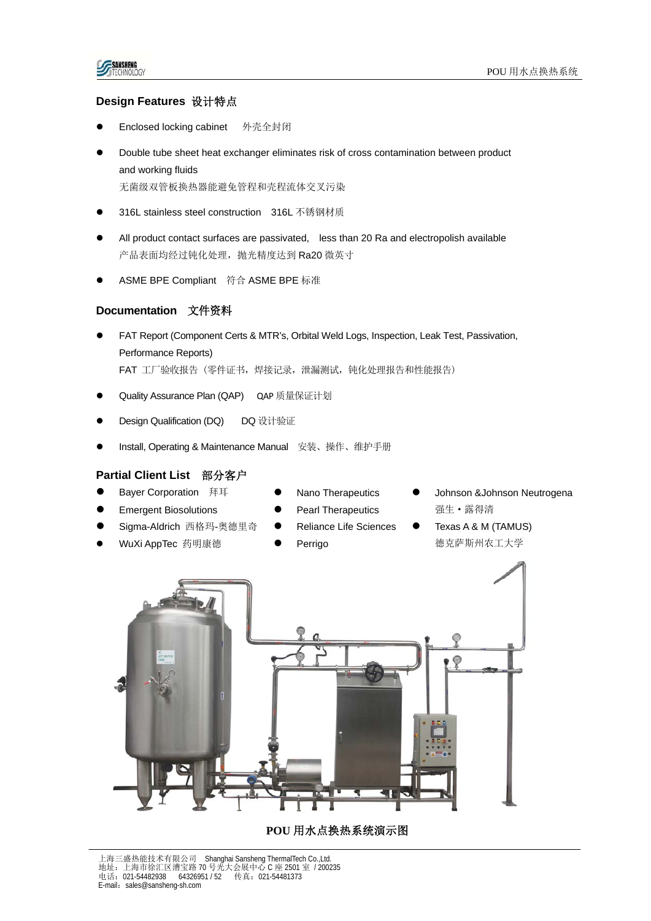## **Design Features** 设计特点

- Enclosed locking cabinet 外壳全封闭
- Double tube sheet heat exchanger eliminates risk of cross contamination between product and working fluids 无菌级双管板换热器能避免管程和壳程流体交叉污染
- 316L stainless steel construction 316L 不锈钢材质
- All product contact surfaces are passivated, less than 20 Ra and electropolish available 产品表面均经过钝化处理, 抛光精度达到 Ra20 微英寸
- ASME BPE Compliant 符合 ASME BPE 标准

#### **Documentation** 文件资料

- FAT Report (Component Certs & MTR's, Orbital Weld Logs, Inspection, Leak Test, Passivation, Performance Reports) FAT 工厂验收报告 (零件证书, 焊接记录, 泄漏测试, 钝化处理报告和性能报告)
- Quality Assurance Plan (QAP) QAP 质量保证计划
- Design Qualification (DQ) DQ 设计验证
- Install, Operating & Maintenance Manual 安装、操作、维护手册

#### **Partial Client List** 部分客户

- Bayer Corporation 拜耳
- Emergent Biosolutions
- Sigma-Aldrich 西格玛-奥德里奇
- WuXi AppTec 药明康德
- Nano Therapeutics
- Pearl Therapeutics
- Reliance Life Sciences
- Perrigo
- Johnson &Johnson Neutrogena 强生·露得清
- Texas A & M (TAMUS) 德克萨斯州农工大学



**POU** 用水点换热系统演示图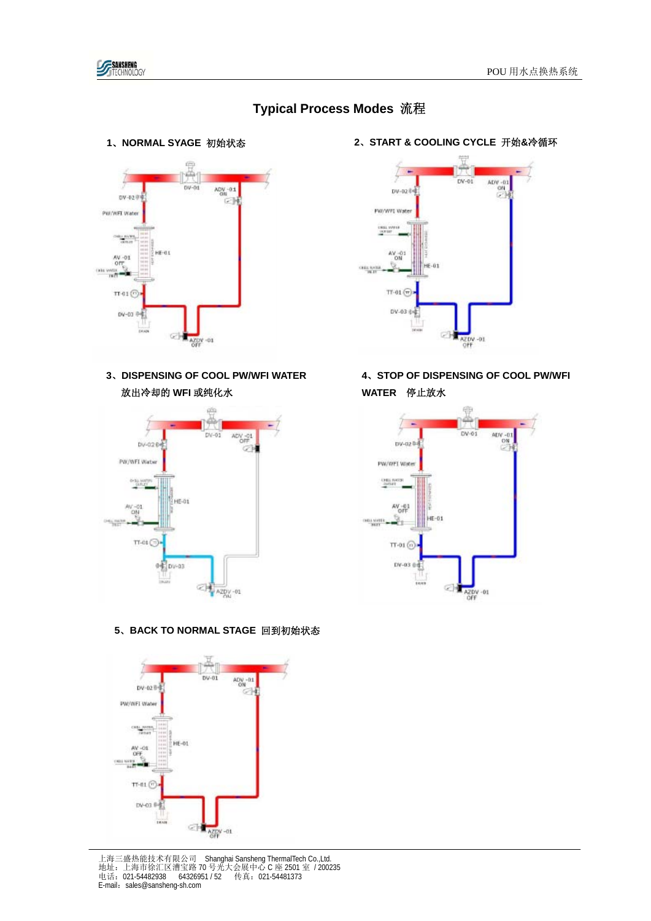

# **Typical Process Modes** 流程



**3**、**DISPENSING OF COOL PW/WFI WATER** 放出冷却的 **WFI** 或纯化水



## **5**、**BACK TO NORMAL STAGE** 回到初始状态



上海三盛热能技术有限公司 Shanghai Sansheng ThermalTech Co.,Ltd. 地址:上海市徐汇区漕宝路 70 号光大会展中心 C 座 2501 室 / 200235 电话: 021-54482938 64326951 / 52 传真: 021-54481373<br>E-mail: sales@sansheng-sh.com

 **1**、**NORMAL SYAGE** 初始状态 **<sup>2</sup>**、**START & COOLING CYCLE** 开始**&**冷循环



**4**、**STOP OF DISPENSING OF COOL PW/WFI WATER** 停止放水